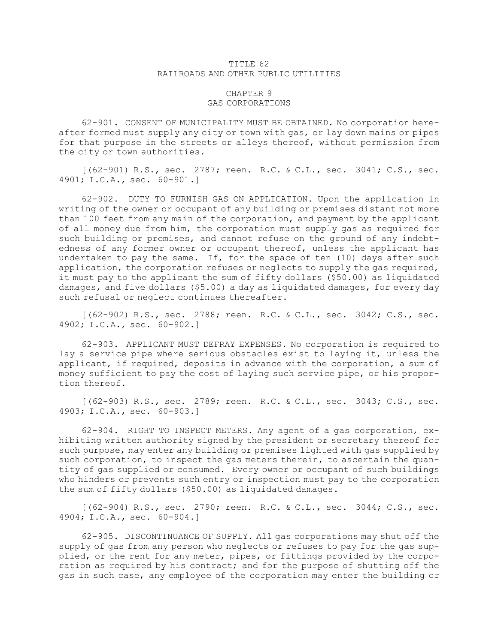## TITLE 62 RAILROADS AND OTHER PUBLIC UTILITIES

## CHAPTER 9 GAS CORPORATIONS

62-901. CONSENT OF MUNICIPALITY MUST BE OBTAINED. No corporation hereafter formed must supply any city or town with gas, or lay down mains or pipes for that purpose in the streets or alleys thereof, without permission from the city or town authorities.

[(62-901) R.S., sec. 2787; reen. R.C. & C.L., sec. 3041; C.S., sec. 4901; I.C.A., sec. 60-901.]

62-902. DUTY TO FURNISH GAS ON APPLICATION. Upon the application in writing of the owner or occupant of any building or premises distant not more than 100 feet from any main of the corporation, and payment by the applicant of all money due from him, the corporation must supply gas as required for such building or premises, and cannot refuse on the ground of any indebtedness of any former owner or occupant thereof, unless the applicant has undertaken to pay the same. If, for the space of ten (10) days after such application, the corporation refuses or neglects to supply the gas required, it must pay to the applicant the sum of fifty dollars (\$50.00) as liquidated damages, and five dollars (\$5.00) <sup>a</sup> day as liquidated damages, for every day such refusal or neglect continues thereafter.

[(62-902) R.S., sec. 2788; reen. R.C. & C.L., sec. 3042; C.S., sec. 4902; I.C.A., sec. 60-902.]

62-903. APPLICANT MUST DEFRAY EXPENSES. No corporation is required to lay <sup>a</sup> service pipe where serious obstacles exist to laying it, unless the applicant, if required, deposits in advance with the corporation, <sup>a</sup> sum of money sufficient to pay the cost of laying such service pipe, or his proportion thereof.

[(62-903) R.S., sec. 2789; reen. R.C. & C.L., sec. 3043; C.S., sec. 4903; I.C.A., sec. 60-903.]

62-904. RIGHT TO INSPECT METERS. Any agent of <sup>a</sup> gas corporation, exhibiting written authority signed by the president or secretary thereof for such purpose, may enter any building or premises lighted with gas supplied by such corporation, to inspect the gas meters therein, to ascertain the quantity of gas supplied or consumed. Every owner or occupant of such buildings who hinders or prevents such entry or inspection must pay to the corporation the sum of fifty dollars (\$50.00) as liquidated damages.

[(62-904) R.S., sec. 2790; reen. R.C. & C.L., sec. 3044; C.S., sec. 4904; I.C.A., sec. 60-904.]

62-905. DISCONTINUANCE OF SUPPLY. All gas corporations may shut off the supply of gas from any person who neglects or refuses to pay for the gas supplied, or the rent for any meter, pipes, or fittings provided by the corporation as required by his contract; and for the purpose of shutting off the gas in such case, any employee of the corporation may enter the building or